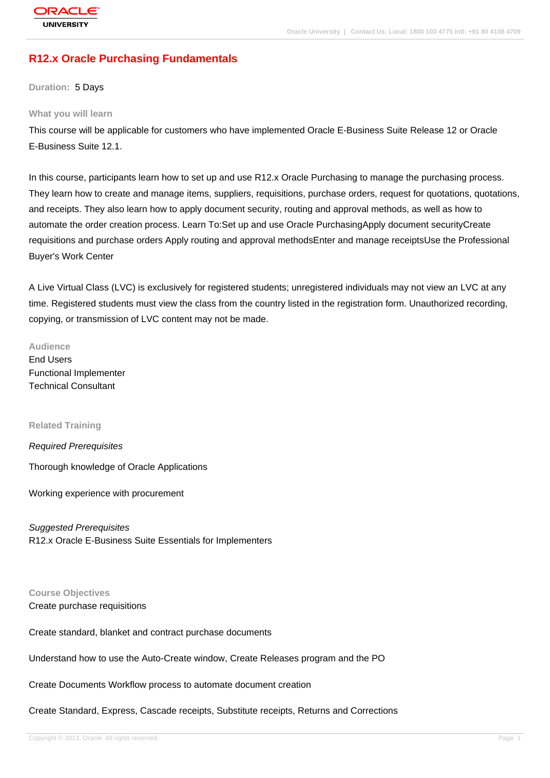# **[R12.x Oracle P](http://education.oracle.com/pls/web_prod-plq-dad/db_pages.getpage?page_id=3)urchasing Fundamentals**

**Duration:** 5 Days

#### **What you will learn**

This course will be applicable for customers who have implemented Oracle E-Business Suite Release 12 or Oracle E-Business Suite 12.1.

In this course, participants learn how to set up and use R12.x Oracle Purchasing to manage the purchasing process. They learn how to create and manage items, suppliers, requisitions, purchase orders, request for quotations, quotations, and receipts. They also learn how to apply document security, routing and approval methods, as well as how to automate the order creation process. Learn To:Set up and use Oracle PurchasingApply document securityCreate requisitions and purchase orders Apply routing and approval methodsEnter and manage receiptsUse the Professional Buyer's Work Center

A Live Virtual Class (LVC) is exclusively for registered students; unregistered individuals may not view an LVC at any time. Registered students must view the class from the country listed in the registration form. Unauthorized recording, copying, or transmission of LVC content may not be made.

**Audience** End Users Functional Implementer Technical Consultant

**Related Training**

Required Prerequisites

Thorough knowledge of Oracle Applications

Working experience with procurement

Suggested Prerequisites R12.x Oracle E-Business Suite Essentials for Implementers

**Course Objectives** Create purchase requisitions

Create standard, blanket and contract purchase documents

Understand how to use the Auto-Create window, Create Releases program and the PO

Create Documents Workflow process to automate document creation

Create Standard, Express, Cascade receipts, Substitute receipts, Returns and Corrections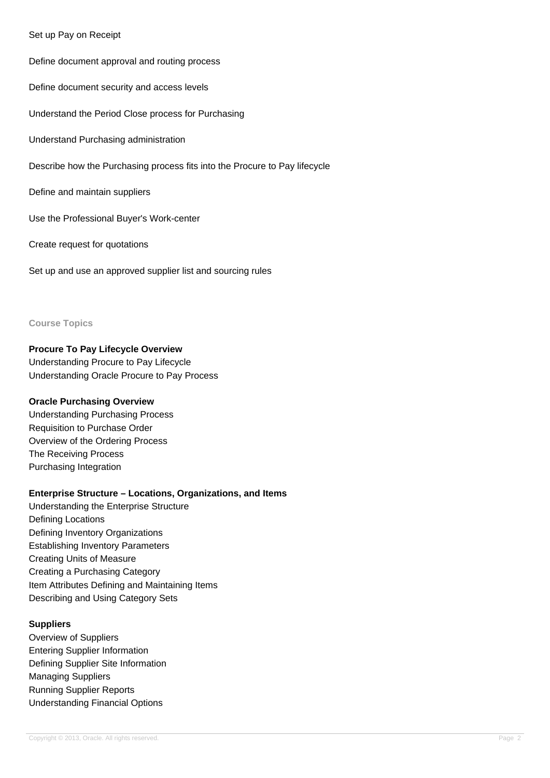### Set up Pay on Receipt

Define document approval and routing process Define document security and access levels Understand the Period Close process for Purchasing Understand Purchasing administration Describe how the Purchasing process fits into the Procure to Pay lifecycle Define and maintain suppliers Use the Professional Buyer's Work-center Create request for quotations

Set up and use an approved supplier list and sourcing rules

#### **Course Topics**

### **Procure To Pay Lifecycle Overview**

Understanding Procure to Pay Lifecycle Understanding Oracle Procure to Pay Process

### **Oracle Purchasing Overview**

Understanding Purchasing Process Requisition to Purchase Order Overview of the Ordering Process The Receiving Process Purchasing Integration

### **Enterprise Structure – Locations, Organizations, and Items**

Understanding the Enterprise Structure Defining Locations Defining Inventory Organizations Establishing Inventory Parameters Creating Units of Measure Creating a Purchasing Category Item Attributes Defining and Maintaining Items Describing and Using Category Sets

### **Suppliers**

Overview of Suppliers Entering Supplier Information Defining Supplier Site Information Managing Suppliers Running Supplier Reports Understanding Financial Options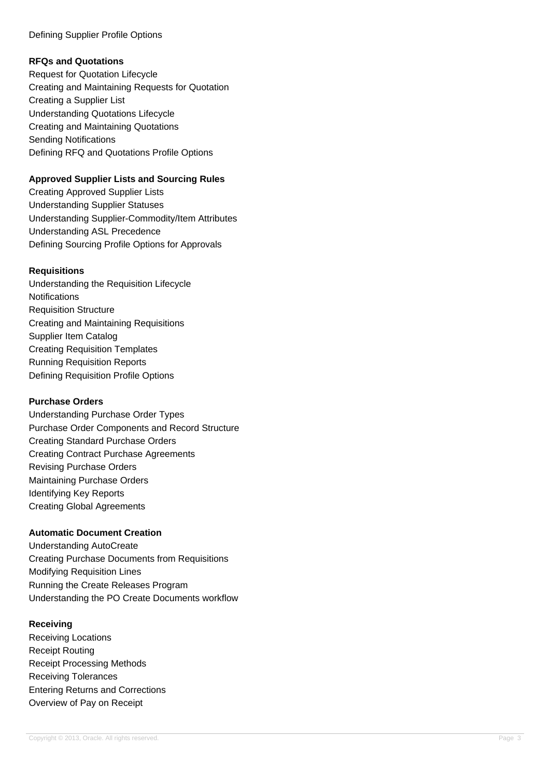### Defining Supplier Profile Options

# **RFQs and Quotations**

Request for Quotation Lifecycle Creating and Maintaining Requests for Quotation Creating a Supplier List Understanding Quotations Lifecycle Creating and Maintaining Quotations Sending Notifications Defining RFQ and Quotations Profile Options

# **Approved Supplier Lists and Sourcing Rules**

Creating Approved Supplier Lists Understanding Supplier Statuses Understanding Supplier-Commodity/Item Attributes Understanding ASL Precedence Defining Sourcing Profile Options for Approvals

# **Requisitions**

Understanding the Requisition Lifecycle Notifications Requisition Structure Creating and Maintaining Requisitions Supplier Item Catalog Creating Requisition Templates Running Requisition Reports Defining Requisition Profile Options

### **Purchase Orders**

Understanding Purchase Order Types Purchase Order Components and Record Structure Creating Standard Purchase Orders Creating Contract Purchase Agreements Revising Purchase Orders Maintaining Purchase Orders Identifying Key Reports Creating Global Agreements

# **Automatic Document Creation**

Understanding AutoCreate Creating Purchase Documents from Requisitions Modifying Requisition Lines Running the Create Releases Program Understanding the PO Create Documents workflow

### **Receiving**

Receiving Locations Receipt Routing Receipt Processing Methods Receiving Tolerances Entering Returns and Corrections Overview of Pay on Receipt